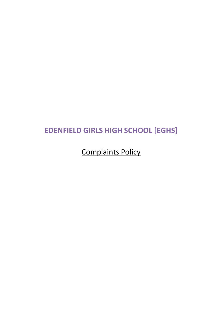# **EDENFIELD GIRLS HIGH SCHOOL [EGHS]**

Complaints Policy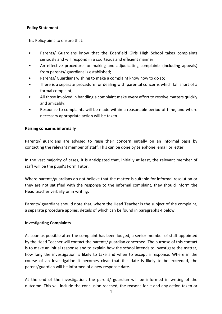## **Policy Statement**

This Policy aims to ensure that:

- Parents/ Guardians know that the Edenfield Girls High School takes complaints seriously and will respond in a courteous and efficient manner;
- An effective procedure for making and adjudicating complaints (including appeals) from parents/ guardians is established;
- Parents/ Guardians wishing to make a complaint know how to do so;
- There is a separate procedure for dealing with parental concerns which fall short of a formal complaint;
- All those involved in handling a complaint make every effort to resolve matters quickly and amicably;
- Response to complaints will be made within a reasonable period of time, and where necessary appropriate action will be taken.

## **Raising concerns informally**

Parents/ guardians are advised to raise their concern initially on an informal basis by contacting the relevant member of staff. This can be done by telephone, email or letter.

In the vast majority of cases, it is anticipated that, initially at least, the relevant member of staff will be the pupil's Form Tutor.

Where parents/guardians do not believe that the matter is suitable for informal resolution or they are not satisfied with the response to the informal complaint, they should inform the Head teacher verbally or in writing.

Parents/ guardians should note that, where the Head Teacher is the subject of the complaint, a separate procedure applies, details of which can be found in paragraphs 4 below.

#### **Investigating Complaints**

As soon as possible after the complaint has been lodged, a senior member of staff appointed by the Head Teacher will contact the parents/ guardian concerned. The purpose of this contact is to make an initial response and to explain how the school intends to investigate the matter, how long the investigation is likely to take and when to except a response. Where in the course of an investigation it becomes clear that this date is likely to be exceeded, the parent/guardian will be informed of a new response date.

At the end of the investigation, the parent/ guardian will be informed in writing of the outcome. This will include the conclusion reached, the reasons for it and any action taken or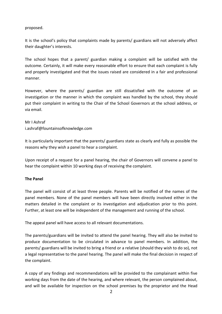## proposed.

It is the school's policy that complaints made by parents/ guardians will not adversely affect their daughter's interests.

The school hopes that a parent/ guardian making a complaint will be satisfied with the outcome. Certainly, it will make every reasonable effort to ensure that each complaint is fully and properly investigated and that the issues raised are considered in a fair and professional manner.

However, where the parents/ guardian are still dissatisfied with the outcome of an investigation or the manner in which the complaint was handled by the school, they should put their complaint in writing to the Chair of the School Governors at the school address, or via email.

## Mr I Ashraf i.ashraf@fountainsofknowledge.com

It is particularly important that the parents/ guardians state as clearly and fully as possible the reasons why they wish a panel to hear a complaint.

Upon receipt of a request for a panel hearing, the chair of Governors will convene a panel to hear the complaint within 10 working days of receiving the complaint.

## **The Panel**

The panel will consist of at least three people. Parents will be notified of the names of the panel members. None of the panel members will have been directly involved either in the matters detailed in the complaint or its investigation and adjudication prior to this point. Further, at least one will be independent of the management and running of the school.

The appeal panel will have access to all relevant documentations.

The parents/guardians will be invited to attend the panel hearing. They will also be invited to produce documentation to be circulated in advance to panel members. In addition, the parents/ guardians will be invited to bring a friend or a relative (should they wish to do so), not a legal representative to the panel hearing. The panel will make the final decision in respect of the complaint.

A copy of any findings and recommendations will be provided to the complainant within five working days from the date of the hearing, and where relevant, the person complained about, and will be available for inspection on the school premises by the proprietor and the Head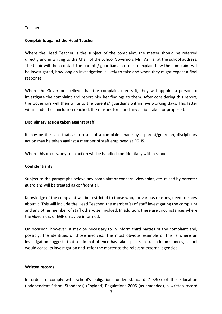Teacher.

## **Complaints against the Head Teacher**

Where the Head Teacher is the subject of the complaint, the matter should be referred directly and in writing to the Chair of the School Governors Mr I Ashraf at the school address. The Chair will then contact the parents/ guardians in order to explain how the complaint will be investigated, how long an investigation is likely to take and when they might expect a final response.

Where the Governors believe that the complaint merits it, they will appoint a person to investigate the complaint and report his/ her findings to them. After considering this report, the Governors will then write to the parents/ guardians within five working days. This letter will include the conclusion reached, the reasons for it and any action taken or proposed.

## **Disciplinary action taken against staff**

It may be the case that, as a result of a complaint made by a parent/guardian, disciplinary action may be taken against a member of staff employed at EGHS.

Where this occurs, any such action will be handled confidentially within school.

#### **Confidentiality**

Subject to the paragraphs below, any complaint or concern, viewpoint, etc. raised by parents/ guardians will be treated as confidential.

Knowledge of the complaint will be restricted to those who, for various reasons, need to know about it. This will include the Head Teacher, the member(s) of staff investigating the complaint and any other member of staff otherwise involved. In addition, there are circumstances where the Governors of EGHS may be informed.

On occasion, however, it may be necessary to in inform third parties of the complaint and, possibly, the identities of those involved. The most obvious example of this is where an investigation suggests that a criminal offence has taken place. In such circumstances, school would cease its investigation and refer the matter to the relevant external agencies.

#### **Written records**

In order to comply with school's obligations under standard 7 33(k) of the Education (Independent School Standards) (England) Regulations 2005 (as amended), a written record